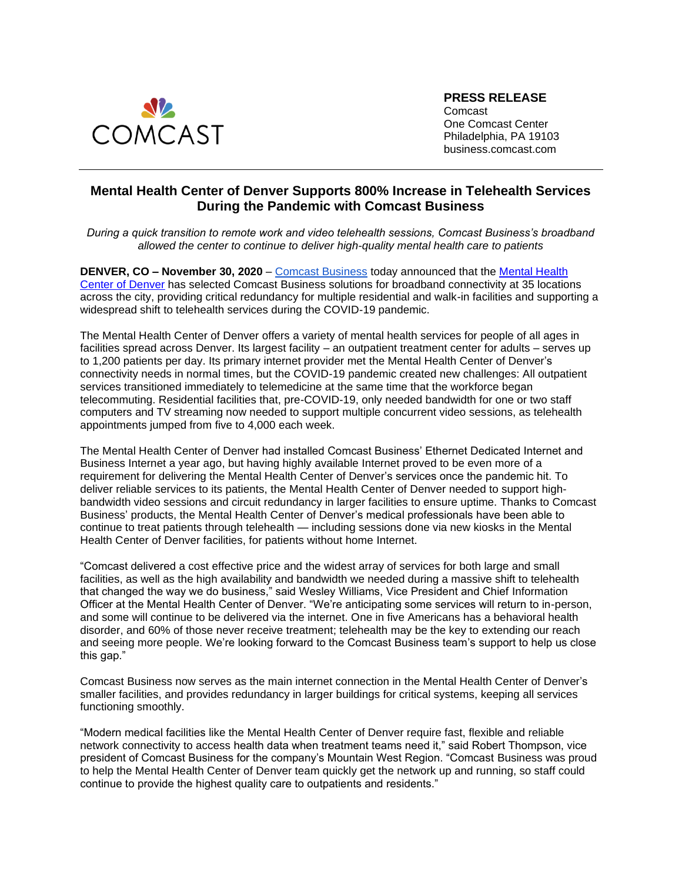

**PRESS RELEASE**

Comcast One Comcast Center Philadelphia, PA 19103 business.comcast.com

## **Mental Health Center of Denver Supports 800% Increase in Telehealth Services During the Pandemic with Comcast Business**

*During a quick transition to remote work and video telehealth sessions, Comcast Business's broadband allowed the center to continue to deliver high-quality mental health care to patients* 

**DENVER, CO – November 30, 2020** [–](https://business.comcast.com/) [Comcast Business](https://business.comcast.com/) today announced that the [Mental Health](https://mhcd.org/)  [Center of Denver](https://mhcd.org/) has selected Comcast Business solutions for broadband connectivity at 35 locations across the city, providing critical redundancy for multiple residential and walk-in facilities and supporting a widespread shift to telehealth services during the COVID-19 pandemic.

The Mental Health Center of Denver offers a variety of mental health services for people of all ages in facilities spread across Denver. Its largest facility – an outpatient treatment center for adults – serves up to 1,200 patients per day. Its primary internet provider met the Mental Health Center of Denver's connectivity needs in normal times, but the COVID-19 pandemic created new challenges: All outpatient services transitioned immediately to telemedicine at the same time that the workforce began telecommuting. Residential facilities that, pre-COVID-19, only needed bandwidth for one or two staff computers and TV streaming now needed to support multiple concurrent video sessions, as telehealth appointments jumped from five to 4,000 each week.

The Mental Health Center of Denver had installed Comcast Business' Ethernet Dedicated Internet and Business Internet a year ago, but having highly available Internet proved to be even more of a requirement for delivering the Mental Health Center of Denver's services once the pandemic hit. To deliver reliable services to its patients, the Mental Health Center of Denver needed to support highbandwidth video sessions and circuit redundancy in larger facilities to ensure uptime. Thanks to Comcast Business' products, the Mental Health Center of Denver's medical professionals have been able to continue to treat patients through telehealth — including sessions done via new kiosks in the Mental Health Center of Denver facilities, for patients without home Internet.

"Comcast delivered a cost effective price and the widest array of services for both large and small facilities, as well as the high availability and bandwidth we needed during a massive shift to telehealth that changed the way we do business," said Wesley Williams, Vice President and Chief Information Officer at the Mental Health Center of Denver. "We're anticipating some services will return to in-person, and some will continue to be delivered via the internet. One in five Americans has a behavioral health disorder, and 60% of those never receive treatment; telehealth may be the key to extending our reach and seeing more people. We're looking forward to the Comcast Business team's support to help us close this gap."

Comcast Business now serves as the main internet connection in the Mental Health Center of Denver's smaller facilities, and provides redundancy in larger buildings for critical systems, keeping all services functioning smoothly.

"Modern medical facilities like the Mental Health Center of Denver require fast, flexible and reliable network connectivity to access health data when treatment teams need it," said Robert Thompson, vice president of Comcast Business for the company's Mountain West Region. "Comcast Business was proud to help the Mental Health Center of Denver team quickly get the network up and running, so staff could continue to provide the highest quality care to outpatients and residents."